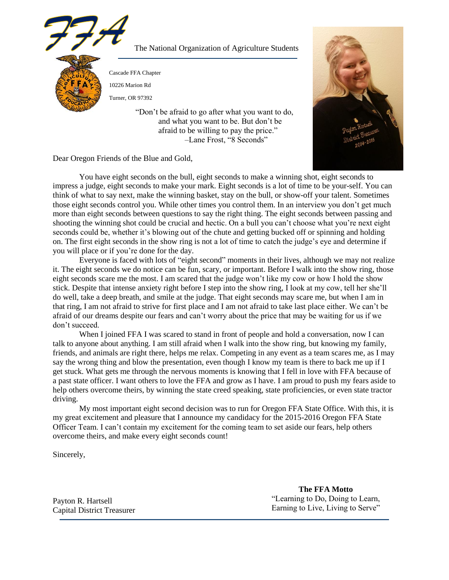

The National Organization of Agriculture Students

Cascade FFA Chapter

10226 Marion Rd

Turner, OR 97392

"Don't be afraid to go after what you want to do, and what you want to be. But don't be afraid to be willing to pay the price." –Lane Frost, "8 Seconds"



Dear Oregon Friends of the Blue and Gold,

You have eight seconds on the bull, eight seconds to make a winning shot, eight seconds to impress a judge, eight seconds to make your mark. Eight seconds is a lot of time to be your-self. You can think of what to say next, make the winning basket, stay on the bull, or show-off your talent. Sometimes those eight seconds control you. While other times you control them. In an interview you don't get much more than eight seconds between questions to say the right thing. The eight seconds between passing and shooting the winning shot could be crucial and hectic. On a bull you can't choose what you're next eight seconds could be, whether it's blowing out of the chute and getting bucked off or spinning and holding on. The first eight seconds in the show ring is not a lot of time to catch the judge's eye and determine if you will place or if you're done for the day.

Everyone is faced with lots of "eight second" moments in their lives, although we may not realize it. The eight seconds we do notice can be fun, scary, or important. Before I walk into the show ring, those eight seconds scare me the most. I am scared that the judge won't like my cow or how I hold the show stick. Despite that intense anxiety right before I step into the show ring, I look at my cow, tell her she'll do well, take a deep breath, and smile at the judge. That eight seconds may scare me, but when I am in that ring, I am not afraid to strive for first place and I am not afraid to take last place either. We can't be afraid of our dreams despite our fears and can't worry about the price that may be waiting for us if we don't succeed.

When I joined FFA I was scared to stand in front of people and hold a conversation, now I can talk to anyone about anything. I am still afraid when I walk into the show ring, but knowing my family, friends, and animals are right there, helps me relax. Competing in any event as a team scares me, as I may say the wrong thing and blow the presentation, even though I know my team is there to back me up if I get stuck. What gets me through the nervous moments is knowing that I fell in love with FFA because of a past state officer. I want others to love the FFA and grow as I have. I am proud to push my fears aside to help others overcome theirs, by winning the state creed speaking, state proficiencies, or even state tractor driving.

My most important eight second decision was to run for Oregon FFA State Office. With this, it is my great excitement and pleasure that I announce my candidacy for the 2015-2016 Oregon FFA State Officer Team. I can't contain my excitement for the coming team to set aside our fears, help others overcome theirs, and make every eight seconds count!

Sincerely,

**The FFA Motto** "Learning to Do, Doing to Learn, Earning to Live, Living to Serve"

Payton R. Hartsell Capital District Treasurer